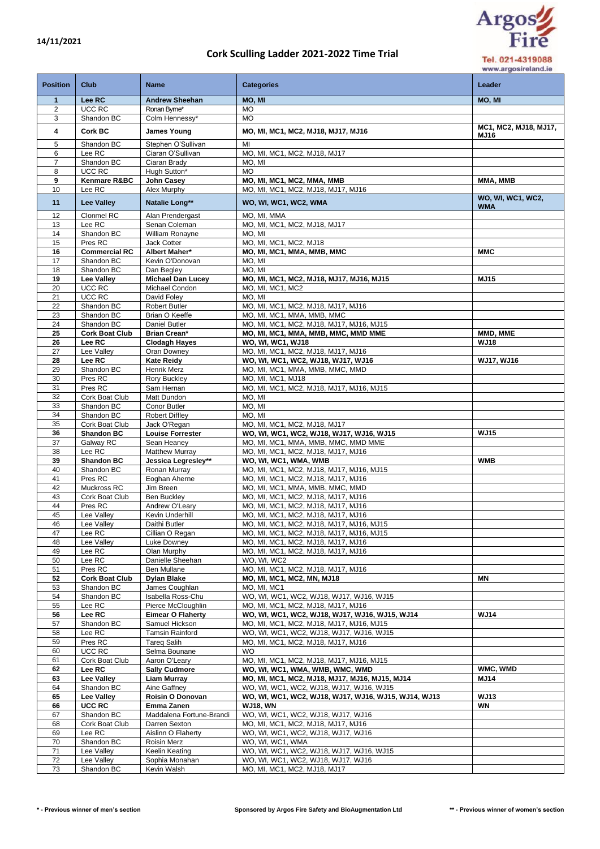## **Cork Sculling Ladder 2021-2022 Time Trial**



Tel. 021-4319088 www.argosireland.ie

| <b>Position</b> | Club                                | <b>Name</b>                                  | <b>Categories</b>                                                                    | Leader                        |
|-----------------|-------------------------------------|----------------------------------------------|--------------------------------------------------------------------------------------|-------------------------------|
| $\mathbf{1}$    | Lee RC                              | <b>Andrew Sheehan</b>                        | MO. MI                                                                               | MO, MI                        |
| $\overline{2}$  | UCC RC                              | Ronan Byme*                                  | <b>MO</b>                                                                            |                               |
| 3               | Shandon BC                          | Colm Hennessy*                               | <b>MO</b>                                                                            |                               |
| 4               | Cork BC                             | James Young                                  | MO, MI, MC1, MC2, MJ18, MJ17, MJ16                                                   | MC1, MC2, MJ18, MJ17,<br>MJ16 |
| 5               | Shandon BC                          | Stephen O'Sullivan                           | MI                                                                                   |                               |
| 6               | Lee RC                              | Ciaran O'Sullivan                            | MO, MI, MC1, MC2, MJ18, MJ17                                                         |                               |
| 7               | Shandon BC                          | Ciaran Brady                                 | MO, MI                                                                               |                               |
| 8               | UCC RC                              | Hugh Sutton*                                 | <b>MO</b>                                                                            |                               |
| 9<br>10         | Kenmare R&BC<br>Lee RC              | John Casey<br>Alex Murphy                    | MO, MI, MC1, MC2, MMA, MMB<br>MO, MI, MC1, MC2, MJ18, MJ17, MJ16                     | MMA, MMB                      |
|                 |                                     |                                              |                                                                                      | WO, WI, WC1, WC2,             |
| 11              | <b>Lee Valley</b>                   | Natalie Long**                               | WO, WI, WC1, WC2, WMA                                                                | <b>WMA</b>                    |
| 12              | Clonmel RC                          | Alan Prendergast                             | MO. MI. MMA                                                                          |                               |
| 13<br>14        | Lee RC<br>Shandon BC                | Senan Coleman<br>William Ronayne             | MO, MI, MC1, MC2, MJ18, MJ17<br>MO, MI                                               |                               |
| 15              | Pres RC                             | Jack Cotter                                  | MO, MI, MC1, MC2, MJ18                                                               |                               |
| 16              | <b>Commercial RC</b>                | Albert Maher*                                | MO, MI, MC1, MMA, MMB, MMC                                                           | <b>MMC</b>                    |
| 17              | Shandon BC                          | Kevin O'Donovan                              | MO, MI                                                                               |                               |
| 18              | Shandon BC                          | Dan Begley                                   | MO, MI                                                                               |                               |
| 19              | <b>Lee Valley</b>                   | <b>Michael Dan Lucey</b>                     | MO, MI, MC1, MC2, MJ18, MJ17, MJ16, MJ15                                             | <b>MJ15</b>                   |
| 20<br>21        | UCC RC<br>UCC RC                    | Michael Condon<br>David Folev                | MO, MI, MC1, MC2<br>MO. MI                                                           |                               |
| 22              | Shandon BC                          | <b>Robert Butler</b>                         | MO, MI, MC1, MC2, MJ18, MJ17, MJ16                                                   |                               |
| 23              | Shandon BC                          | Brian O Keeffe                               | MO, MI, MC1, MMA, MMB, MMC                                                           |                               |
| 24              | Shandon BC                          | Daniel Butler                                | MO, MI, MC1, MC2, MJ18, MJ17, MJ16, MJ15                                             |                               |
| 25              | <b>Cork Boat Club</b>               | <b>Brian Crean*</b>                          | MO, MI, MC1, MMA, MMB, MMC, MMD MME                                                  | MMD, MME                      |
| 26              | Lee RC                              | <b>Clodagh Hayes</b>                         | WO, WI, WC1, WJ18                                                                    | <b>WJ18</b>                   |
| 27<br>28        | Lee Valley<br>Lee RC                | Oran Downey<br><b>Kate Reidy</b>             | MO, MI, MC1, MC2, MJ18, MJ17, MJ16<br>WO, WI, WC1, WC2, WJ18, WJ17, WJ16             | <b>WJ17, WJ16</b>             |
| 29              | Shandon BC                          | Henrik Merz                                  | MO, MI, MC1, MMA, MMB, MMC, MMD                                                      |                               |
| 30              | Pres RC                             | Rory Buckley                                 | MO, MI, MC1, MJ18                                                                    |                               |
| 31              | Pres RC                             | Sam Hernan                                   | MO, MI, MC1, MC2, MJ18, MJ17, MJ16, MJ15                                             |                               |
| 32              | Cork Boat Club                      | Matt Dundon                                  | MO, MI                                                                               |                               |
| 33<br>34        | Shandon BC<br>Shandon BC            | Conor Butler<br><b>Robert Diffley</b>        | MO, MI<br>MO, MI                                                                     |                               |
| 35              | Cork Boat Club                      | Jack O'Regan                                 | MO, MI, MC1, MC2, MJ18, MJ17                                                         |                               |
| 36              | <b>Shandon BC</b>                   | <b>Louise Forrester</b>                      | WO, WI, WC1, WC2, WJ18, WJ17, WJ16, WJ15                                             | <b>WJ15</b>                   |
| 37              | Galway RC                           | Sean Heaney                                  | MO, MI, MC1, MMA, MMB, MMC, MMD MME                                                  |                               |
| 38              | Lee RC                              | <b>Matthew Murray</b>                        | MO, MI, MC1, MC2, MJ18, MJ17, MJ16                                                   |                               |
| 39<br>40        | <b>Shandon BC</b><br>Shandon BC     | Jessica Legresley**                          | WO, WI, WC1, WMA, WMB                                                                | <b>WMB</b>                    |
| 41              | Pres RC                             | Ronan Murray<br>Eoghan Aherne                | MO, MI, MC1, MC2, MJ18, MJ17, MJ16, MJ15<br>MO, MI, MC1, MC2, MJ18, MJ17, MJ16       |                               |
| 42              | Muckross RC                         | Jim Breen                                    | MO, MI, MC1, MMA, MMB, MMC, MMD                                                      |                               |
| 43              | Cork Boat Club                      | <b>Ben Buckley</b>                           | MO, MI, MC1, MC2, MJ18, MJ17, MJ16                                                   |                               |
| 44              | Pres RC                             | Andrew O'Leary                               | MO, MI, MC1, MC2, MJ18, MJ17, MJ16                                                   |                               |
| 45              | Lee Valley                          | Kevin Underhill                              | MO, MI, MC1, MC2, MJ18, MJ17, MJ16                                                   |                               |
| 46<br>47        | Lee Valley<br>Lee RC                | Daithi Butler<br>Cillian O Regan             | MO, MI, MC1, MC2, MJ18, MJ17, MJ16, MJ15<br>MO, MI, MC1, MC2, MJ18, MJ17, MJ16, MJ15 |                               |
| 48              | Lee Valley                          | Luke Downey                                  | MO, MI, MC1, MC2, MJ18, MJ17, MJ16                                                   |                               |
| 49              | Lee RC                              | Olan Murphy                                  | MO, MI, MC1, MC2, MJ18, MJ17, MJ16                                                   |                               |
| 50              | Lee RC                              | Danielle Sheehan                             | WO, WI, WC2                                                                          |                               |
| 51              | Pres RC                             | Ben Mullane                                  | MO, MI, MC1, MC2, MJ18, MJ17, MJ16                                                   |                               |
| 52<br>53        | <b>Cork Boat Club</b><br>Shandon BC | <b>Dylan Blake</b><br>James Coughlan         | MO, MI, MC1, MC2, MN, MJ18<br>MO, MI, MC1                                            | ΜN                            |
| 54              | Shandon BC                          | Isabella Ross-Chu                            | WO, WI, WC1, WC2, WJ18, WJ17, WJ16, WJ15                                             |                               |
| 55              | Lee RC                              | Pierce McCloughlin                           | MO, MI, MC1, MC2, MJ18, MJ17, MJ16                                                   |                               |
| 56              | Lee RC                              | <b>Eimear O Flaherty</b>                     | WO, WI, WC1, WC2, WJ18, WJ17, WJ16, WJ15, WJ14                                       | <b>WJ14</b>                   |
| 57              | Shandon BC                          | Samuel Hickson                               | MO, MI, MC1, MC2, MJ18, MJ17, MJ16, MJ15                                             |                               |
| 58<br>59        | Lee RC<br>Pres RC                   | <b>Tamsin Rainford</b><br><b>Tareg Salih</b> | WO, WI, WC1, WC2, WJ18, WJ17, WJ16, WJ15<br>MO, MI, MC1, MC2, MJ18, MJ17, MJ16       |                               |
| 60              | UCC RC                              | Selma Bounane                                | <b>WO</b>                                                                            |                               |
| 61              | Cork Boat Club                      | Aaron O'Leary                                | MO, MI, MC1, MC2, MJ18, MJ17, MJ16, MJ15                                             |                               |
| 62              | Lee RC                              | <b>Sally Cudmore</b>                         | WO, WI, WC1, WMA, WMB, WMC, WMD                                                      | WMC, WMD                      |
| 63              | Lee Valley                          | Liam Murray                                  | MO, MI, MC1, MC2, MJ18, MJ17, MJ16, MJ15, MJ14                                       | <b>MJ14</b>                   |
| 64              | Shandon BC                          | Aine Gaffney                                 | WO, WI, WC1, WC2, WJ18, WJ17, WJ16, WJ15                                             | <b>WJ13</b>                   |
| 65<br>66        | Lee Valley<br>UCC RC                | Roisin O Donovan<br>Emma Zanen               | WO, WI, WC1, WC2, WJ18, WJ17, WJ16, WJ15, WJ14, WJ13<br><b>WJ18, WN</b>              | WN                            |
| 67              | Shandon BC                          | Maddalena Fortune-Brandi                     | WO, WI, WC1, WC2, WJ18, WJ17, WJ16                                                   |                               |
| 68              | Cork Boat Club                      | Darren Sexton                                | MO, MI, MC1, MC2, MJ18, MJ17, MJ16                                                   |                               |
| 69              | Lee RC                              | Aislinn O Flaherty                           | WO, WI, WC1, WC2, WJ18, WJ17, WJ16                                                   |                               |
| 70              | Shandon BC                          | Roisin Merz                                  | WO, WI, WC1, WMA                                                                     |                               |
| 71<br>72        | Lee Valley<br>Lee Valley            | Keelin Keating<br>Sophia Monahan             | WO, WI, WC1, WC2, WJ18, WJ17, WJ16, WJ15<br>WO, WI, WC1, WC2, WJ18, WJ17, WJ16       |                               |
| 73              | Shandon BC                          | Kevin Walsh                                  | MO, MI, MC1, MC2, MJ18, MJ17                                                         |                               |
|                 |                                     |                                              |                                                                                      |                               |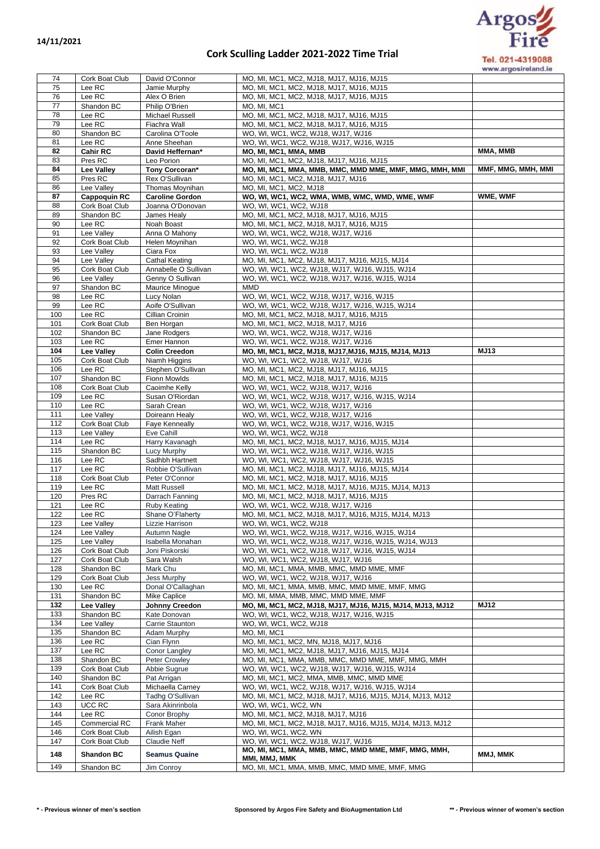## **Cork Sculling Ladder 2021-2022 Time Trial**



www.argosireland.ie

| 74         | Cork Boat Club               | David O'Connor                           | MO, MI, MC1, MC2, MJ18, MJ17, MJ16, MJ15                                                         |                    |
|------------|------------------------------|------------------------------------------|--------------------------------------------------------------------------------------------------|--------------------|
| 75         | Lee RC                       | Jamie Murphy                             | MO, MI, MC1, MC2, MJ18, MJ17, MJ16, MJ15                                                         |                    |
| 76         | Lee RC                       | Alex O Brien                             | MO, MI, MC1, MC2, MJ18, MJ17, MJ16, MJ15                                                         |                    |
| 77         | Shandon BC                   | Philip O'Brien                           | MO, MI, MC1                                                                                      |                    |
| 78<br>79   | Lee RC<br>Lee RC             | Michael Russell                          | MO, MI, MC1, MC2, MJ18, MJ17, MJ16, MJ15                                                         |                    |
| 80         | Shandon BC                   | Fiachra Wall<br>Carolina O'Toole         | MO, MI, MC1, MC2, MJ18, MJ17, MJ16, MJ15<br>WO, WI, WC1, WC2, WJ18, WJ17, WJ16                   |                    |
| 81         | Lee RC                       | Anne Sheehan                             | WO, WI, WC1, WC2, WJ18, WJ17, WJ16, WJ15                                                         |                    |
| 82         | Cahir RC                     | David Heffernan*                         | MO, MI, MC1, MMA, MMB                                                                            | MMA, MMB           |
| 83         | Pres RC                      | Leo Porion                               | MO, MI, MC1, MC2, MJ18, MJ17, MJ16, MJ15                                                         |                    |
| 84         | Lee Valley                   | Tony Corcoran*                           | MO, MI, MC1, MMA, MMB, MMC, MMD MME, MMF, MMG, MMH, MMI                                          | MMF, MMG, MMH, MMI |
| 85         | Pres RC                      | Rex O'Sullivan                           | MO, MI, MC1, MC2, MJ18, MJ17, MJ16                                                               |                    |
| 86         | Lee Valley                   | Thomas Moynihan                          | MO, MI, MC1, MC2, MJ18                                                                           |                    |
| 87         | <b>Cappoquin RC</b>          | <b>Caroline Gordon</b>                   | WO, WI, WC1, WC2, WMA, WMB, WMC, WMD, WME, WMF                                                   | WME, WMF           |
| 88         | Cork Boat Club               | Joanna O'Donovan                         | WO, WI, WC1, WC2, WJ18                                                                           |                    |
| 89         | Shandon BC                   | James Healy                              | MO, MI, MC1, MC2, MJ18, MJ17, MJ16, MJ15                                                         |                    |
| 90         | Lee RC                       | Noah Boast                               | MO, MI, MC1, MC2, MJ18, MJ17, MJ16, MJ15                                                         |                    |
| 91         | Lee Valley                   | Anna O Mahony                            | WO, WI, WC1, WC2, WJ18, WJ17, WJ16                                                               |                    |
| 92         | Cork Boat Club               | Helen Moynihan                           | WO, WI, WC1, WC2, WJ18                                                                           |                    |
| 93         | Lee Valley                   | Ciara Fox                                | WO, WI, WC1, WC2, WJ18                                                                           |                    |
| 94<br>95   | Lee Valley                   | Cathal Keating                           | MO, MI, MC1, MC2, MJ18, MJ17, MJ16, MJ15, MJ14                                                   |                    |
| 96         | Cork Boat Club<br>Lee Valley | Annabelle O Sullivan<br>Genny O Sullivan | WO, WI, WC1, WC2, WJ18, WJ17, WJ16, WJ15, WJ14<br>WO, WI, WC1, WC2, WJ18, WJ17, WJ16, WJ15, WJ14 |                    |
| 97         | Shandon BC                   | Maurice Minogue                          | MMD                                                                                              |                    |
| 98         | Lee RC                       | Lucy Nolan                               | WO, WI, WC1, WC2, WJ18, WJ17, WJ16, WJ15                                                         |                    |
| 99         | Lee RC                       | Aoife O'Sullivan                         | WO, WI, WC1, WC2, WJ18, WJ17, WJ16, WJ15, WJ14                                                   |                    |
| 100        | Lee RC                       | Cillian Croinin                          | MO, MI, MC1, MC2, MJ18, MJ17, MJ16, MJ15                                                         |                    |
| 101        | Cork Boat Club               | Ben Horgan                               | MO, MI, MC1, MC2, MJ18, MJ17, MJ16                                                               |                    |
| 102        | Shandon BC                   | Jane Rodgers                             | WO, WI, WC1, WC2, WJ18, WJ17, WJ16                                                               |                    |
| 103        | Lee RC                       | Emer Hannon                              | WO, WI, WC1, WC2, WJ18, WJ17, WJ16                                                               |                    |
| 104        | Lee Valley                   | <b>Colin Creedon</b>                     | MO, MI, MC1, MC2, MJ18, MJ17, MJ16, MJ15, MJ14, MJ13                                             | <b>MJ13</b>        |
| 105        | Cork Boat Club               | Niamh Higgins                            | WO, WI, WC1, WC2, WJ18, WJ17, WJ16                                                               |                    |
| 106        | Lee RC                       | Stephen O'Sullivan                       | MO, MI, MC1, MC2, MJ18, MJ17, MJ16, MJ15                                                         |                    |
| 107        | Shandon BC                   | Fionn Mowlds                             | MO, MI, MC1, MC2, MJ18, MJ17, MJ16, MJ15                                                         |                    |
| 108        | Cork Boat Club               | Caoimhe Kelly                            | WO, WI, WC1, WC2, WJ18, WJ17, WJ16                                                               |                    |
| 109        | Lee RC                       | Susan O'Riordan                          | WO, WI, WC1, WC2, WJ18, WJ17, WJ16, WJ15, WJ14                                                   |                    |
| 110        | Lee RC                       | Sarah Crean                              | WO, WI, WC1, WC2, WJ18, WJ17, WJ16                                                               |                    |
| 111        | Lee Valley                   | Doireann Healy                           | WO, WI, WC1, WC2, WJ18, WJ17, WJ16                                                               |                    |
| 112<br>113 | Cork Boat Club               | Faye Kenneally                           | WO, WI, WC1, WC2, WJ18, WJ17, WJ16, WJ15                                                         |                    |
| 114        | Lee Valley<br>Lee RC         | Eve Cahill<br>Harry Kavanagh             | WO, WI, WC1, WC2, WJ18<br>MO, MI, MC1, MC2, MJ18, MJ17, MJ16, MJ15, MJ14                         |                    |
| 115        | Shandon BC                   | Lucy Murphy                              | WO, WI, WC1, WC2, WJ18, WJ17, WJ16, WJ15                                                         |                    |
| 116        | Lee RC                       | Sadhbh Hartnett                          | WO, WI, WC1, WC2, WJ18, WJ17, WJ16, WJ15                                                         |                    |
| 117        | Lee RC                       | Robbie O'Sullivan                        | MO, MI, MC1, MC2, MJ18, MJ17, MJ16, MJ15, MJ14                                                   |                    |
| 118        | Cork Boat Club               | Peter O'Connor                           | MO, MI, MC1, MC2, MJ18, MJ17, MJ16, MJ15                                                         |                    |
| 119        | Lee RC                       | Matt Russell                             | MO, MI, MC1, MC2, MJ18, MJ17, MJ16, MJ15, MJ14, MJ13                                             |                    |
| 120        | Pres RC                      | Darrach Fanning                          | MO, MI, MC1, MC2, MJ18, MJ17, MJ16, MJ15                                                         |                    |
| 121        | Lee RC                       | <b>Ruby Keating</b>                      | WO, WI, WC1, WC2, WJ18, WJ17, WJ16                                                               |                    |
| 122        | Lee RC                       | Shane O'Flaherty                         | MO, MI, MC1, MC2, MJ18, MJ17, MJ16, MJ15, MJ14, MJ13                                             |                    |
| 123        | Lee Valley                   | Lizzie Harrison                          | WO, WI, WC1, WC2, WJ18                                                                           |                    |
| 124        | Lee Valley                   | Autumn Nagle                             | WO, WI, WC1, WC2, WJ18, WJ17, WJ16, WJ15, WJ14                                                   |                    |
| 125        | Lee Valley                   | Isabella Monahan                         | WO, WI, WC1, WC2, WJ18, WJ17, WJ16, WJ15, WJ14, WJ13                                             |                    |
| 126        | Cork Boat Club               | Joni Piskorski                           | WO, WI, WC1, WC2, WJ18, WJ17, WJ16, WJ15, WJ14                                                   |                    |
| 127        | Cork Boat Club               | Sara Walsh                               | WO, WI, WC1, WC2, WJ18, WJ17, WJ16                                                               |                    |
| 128<br>129 | Shandon BC<br>Cork Boat Club | Mark Chu<br>Jess Murphy                  | MO, MI, MC1, MMA, MMB, MMC, MMD MME, MMF<br>WO, WI, WC1, WC2, WJ18, WJ17, WJ16                   |                    |
| 130        | Lee RC                       | Donal O'Callaghan                        | MO, MI, MC1, MMA, MMB, MMC, MMD MME, MMF, MMG                                                    |                    |
| 131        | Shandon BC                   | Mike Caplice                             | MO, MI, MMA, MMB, MMC, MMD MME, MMF                                                              |                    |
| 132        | Lee Valley                   | Johnny Creedon                           | MO, MI, MC1, MC2, MJ18, MJ17, MJ16, MJ15, MJ14, MJ13, MJ12                                       | <b>MJ12</b>        |
| 133        | Shandon BC                   | Kate Donovan                             | WO, WI, WC1, WC2, WJ18, WJ17, WJ16, WJ15                                                         |                    |
| 134        | Lee Valley                   | Carrie Staunton                          | WO, WI, WC1, WC2, WJ18                                                                           |                    |
| 135        | Shandon BC                   | Adam Murphy                              | MO, MI, MC1                                                                                      |                    |
| 136        | Lee RC                       | Cian Flynn                               | MO, MI, MC1, MC2, MN, MJ18, MJ17, MJ16                                                           |                    |
| 137        | Lee RC                       | Conor Langley                            | MO, MI, MC1, MC2, MJ18, MJ17, MJ16, MJ15, MJ14                                                   |                    |
| 138        | Shandon BC                   | Peter Crowley                            | MO, MI, MC1, MMA, MMB, MMC, MMD MME, MMF, MMG, MMH                                               |                    |
| 139        | Cork Boat Club               | Abbie Sugrue                             | WO, WI, WC1, WC2, WJ18, WJ17, WJ16, WJ15, WJ14                                                   |                    |
| 140        | Shandon BC                   | Pat Arrigan                              | MO, MI, MC1, MC2, MMA, MMB, MMC, MMD MME                                                         |                    |
| 141        | Cork Boat Club               | Michaella Carney                         | WO, WI, WC1, WC2, WJ18, WJ17, WJ16, WJ15, WJ14                                                   |                    |
| 142        | Lee RC                       | Tadhg O'Sullivan                         | MO, MI, MC1, MC2, MJ18, MJ17, MJ16, MJ15, MJ14, MJ13, MJ12                                       |                    |
| 143        | UCC RC<br>Lee RC             | Sara Akinrinbola                         | WO, WI, WC1, WC2, WN                                                                             |                    |
| 144<br>145 | Commercial RC                | Conor Brophy<br>Frank Maher              | MO, MI, MC1, MC2, MJ18, MJ17, MJ16<br>MO, MI, MC1, MC2, MJ18, MJ17, MJ16, MJ15, MJ14, MJ13, MJ12 |                    |
| 146        | Cork Boat Club               | Ailish Egan                              | WO, WI, WC1, WC2, WN                                                                             |                    |
| 147        | Cork Boat Club               | <b>Claudie Neff</b>                      | WO, WI, WC1, WC2, WJ18, WJ17, WJ16                                                               |                    |
|            |                              |                                          | MO, MI, MC1, MMA, MMB, MMC, MMD MME, MMF, MMG, MMH,                                              |                    |
| 148        | <b>Shandon BC</b>            | <b>Seamus Quaine</b>                     | MMI, MMJ, MMK                                                                                    | MMJ, MMK           |
| 149        | Shandon BC                   | Jim Conroy                               | MO, MI, MC1, MMA, MMB, MMC, MMD MME, MMF, MMG                                                    |                    |